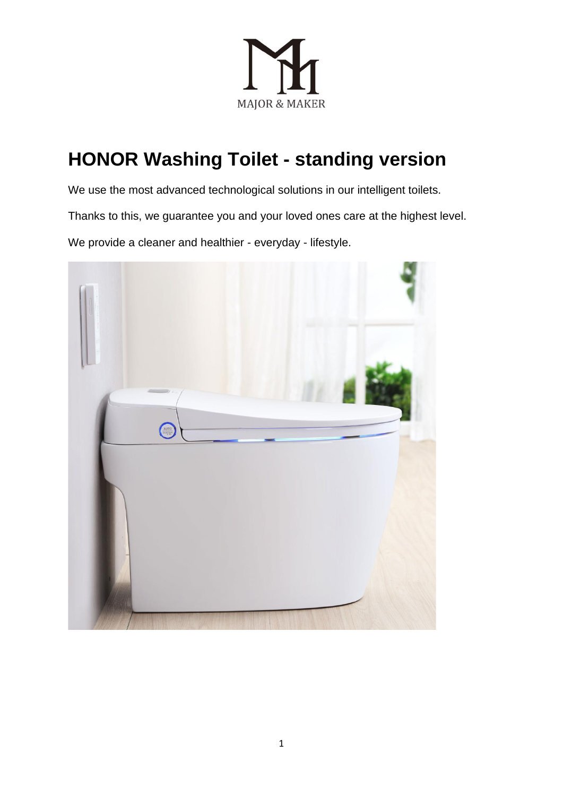

# **HONOR Washing Toilet - standing version**

We use the most advanced technological solutions in our intelligent toilets.

Thanks to this, we guarantee you and your loved ones care at the highest level.

We provide a cleaner and healthier - everyday - lifestyle.

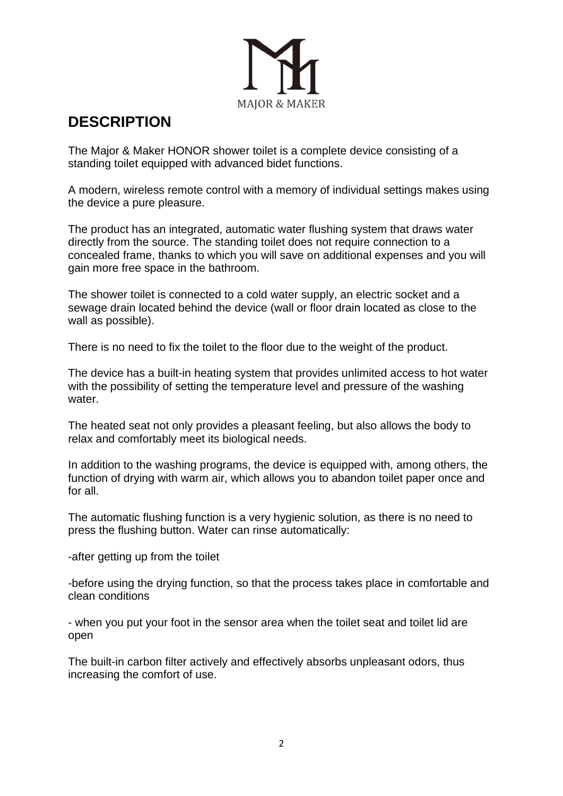

### **DESCRIPTION**

The Major & Maker HONOR shower toilet is a complete device consisting of a standing toilet equipped with advanced bidet functions.

A modern, wireless remote control with a memory of individual settings makes using the device a pure pleasure.

The product has an integrated, automatic water flushing system that draws water directly from the source. The standing toilet does not require connection to a concealed frame, thanks to which you will save on additional expenses and you will gain more free space in the bathroom.

The shower toilet is connected to a cold water supply, an electric socket and a sewage drain located behind the device (wall or floor drain located as close to the wall as possible).

There is no need to fix the toilet to the floor due to the weight of the product.

The device has a built-in heating system that provides unlimited access to hot water with the possibility of setting the temperature level and pressure of the washing water.

The heated seat not only provides a pleasant feeling, but also allows the body to relax and comfortably meet its biological needs.

In addition to the washing programs, the device is equipped with, among others, the function of drying with warm air, which allows you to abandon toilet paper once and for all.

The automatic flushing function is a very hygienic solution, as there is no need to press the flushing button. Water can rinse automatically:

-after getting up from the toilet

-before using the drying function, so that the process takes place in comfortable and clean conditions

- when you put your foot in the sensor area when the toilet seat and toilet lid are open

The built-in carbon filter actively and effectively absorbs unpleasant odors, thus increasing the comfort of use.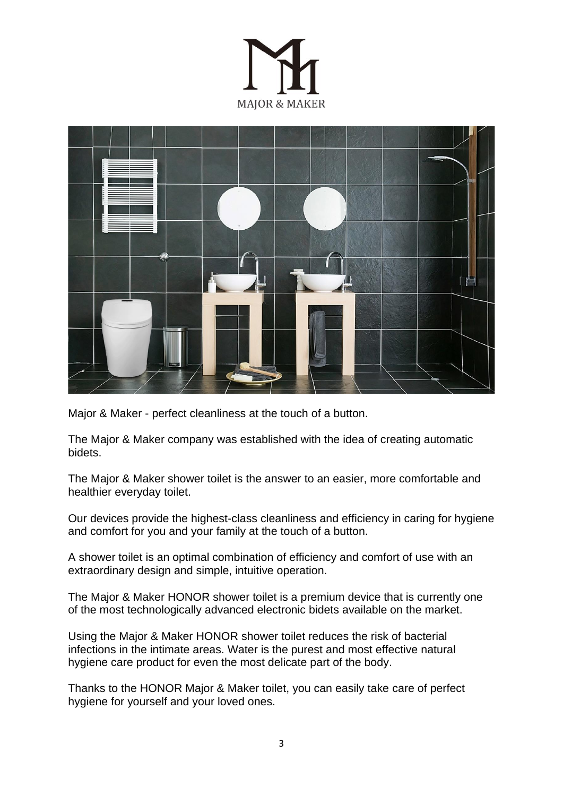



Major & Maker - perfect cleanliness at the touch of a button.

The Major & Maker company was established with the idea of creating automatic bidets.

The Major & Maker shower toilet is the answer to an easier, more comfortable and healthier everyday toilet.

Our devices provide the highest-class cleanliness and efficiency in caring for hygiene and comfort for you and your family at the touch of a button.

A shower toilet is an optimal combination of efficiency and comfort of use with an extraordinary design and simple, intuitive operation.

The Major & Maker HONOR shower toilet is a premium device that is currently one of the most technologically advanced electronic bidets available on the market.

Using the Major & Maker HONOR shower toilet reduces the risk of bacterial infections in the intimate areas. Water is the purest and most effective natural hygiene care product for even the most delicate part of the body.

Thanks to the HONOR Major & Maker toilet, you can easily take care of perfect hygiene for yourself and your loved ones.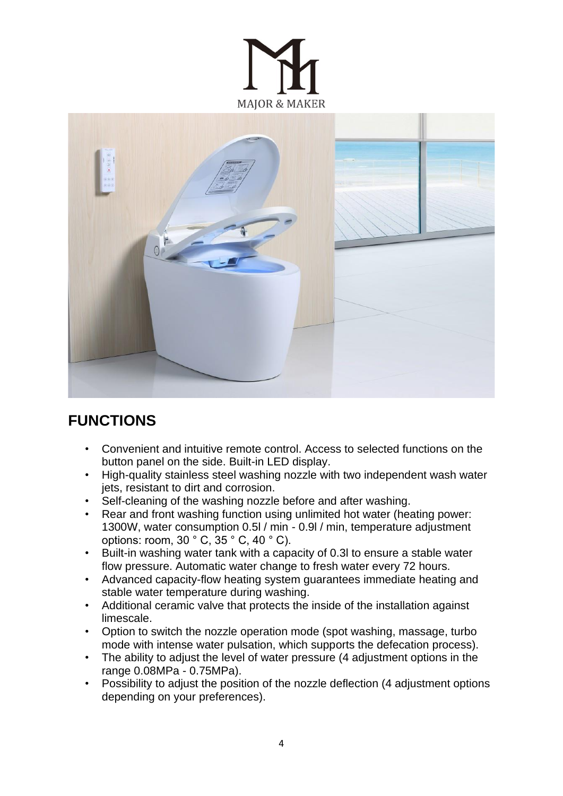



## **FUNCTIONS**

- Convenient and intuitive remote control. Access to selected functions on the button panel on the side. Built-in LED display.
- High-quality stainless steel washing nozzle with two independent wash water jets, resistant to dirt and corrosion.
- Self-cleaning of the washing nozzle before and after washing.
- Rear and front washing function using unlimited hot water (heating power: 1300W, water consumption 0.5l / min - 0.9l / min, temperature adjustment options: room, 30 ° C, 35 ° C, 40 ° C).
- Built-in washing water tank with a capacity of 0.3l to ensure a stable water flow pressure. Automatic water change to fresh water every 72 hours.
- Advanced capacity-flow heating system guarantees immediate heating and stable water temperature during washing.
- Additional ceramic valve that protects the inside of the installation against limescale.
- Option to switch the nozzle operation mode (spot washing, massage, turbo mode with intense water pulsation, which supports the defecation process).
- The ability to adjust the level of water pressure (4 adjustment options in the range 0.08MPa - 0.75MPa).
- Possibility to adjust the position of the nozzle deflection (4 adjustment options depending on your preferences).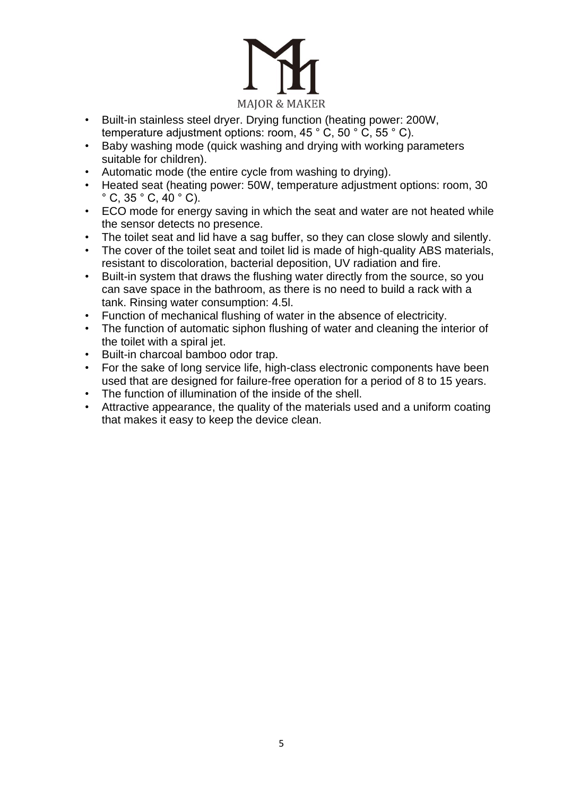

- Built-in stainless steel dryer. Drying function (heating power: 200W, temperature adjustment options: room, 45 ° C, 50 ° C, 55 ° C).
- Baby washing mode (quick washing and drying with working parameters suitable for children).
- Automatic mode (the entire cycle from washing to drying).
- Heated seat (heating power: 50W, temperature adjustment options: room, 30  $\degree$  C, 35  $\degree$  C, 40  $\degree$  C).
- ECO mode for energy saving in which the seat and water are not heated while the sensor detects no presence.
- The toilet seat and lid have a sag buffer, so they can close slowly and silently.
- The cover of the toilet seat and toilet lid is made of high-quality ABS materials, resistant to discoloration, bacterial deposition, UV radiation and fire.
- Built-in system that draws the flushing water directly from the source, so you can save space in the bathroom, as there is no need to build a rack with a tank. Rinsing water consumption: 4.5l.
- Function of mechanical flushing of water in the absence of electricity.
- The function of automatic siphon flushing of water and cleaning the interior of the toilet with a spiral jet.
- Built-in charcoal bamboo odor trap.
- For the sake of long service life, high-class electronic components have been used that are designed for failure-free operation for a period of 8 to 15 years.
- The function of illumination of the inside of the shell.
- Attractive appearance, the quality of the materials used and a uniform coating that makes it easy to keep the device clean.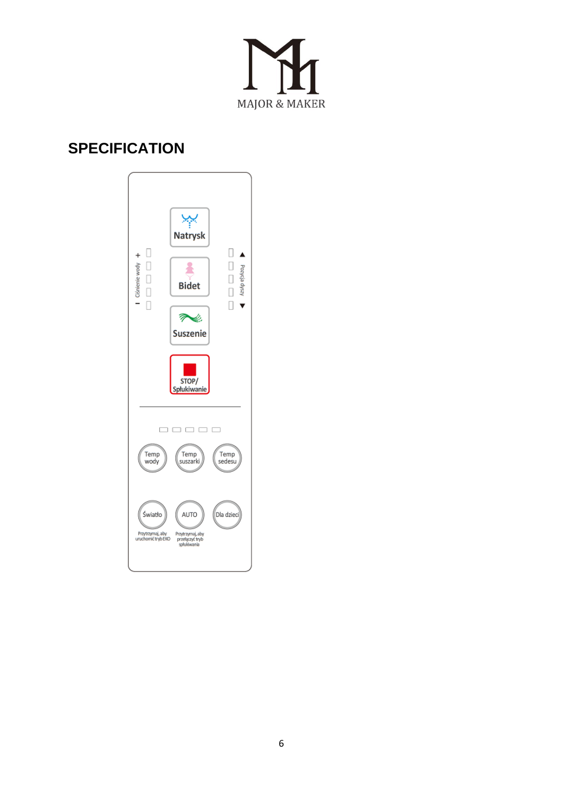

#### **SPECIFICATION**